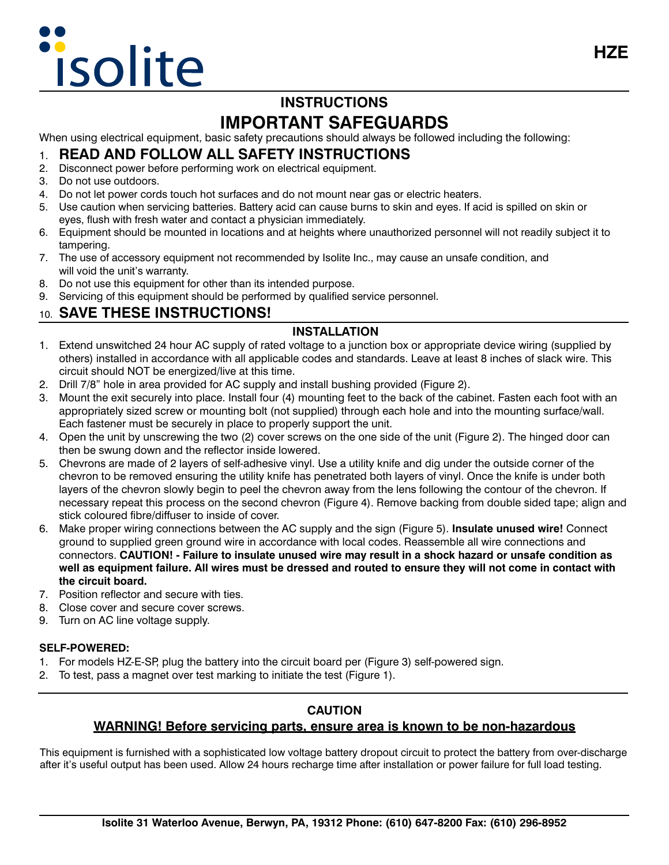# isolite

# **INSTRUCTIONS IMPORTANT SAFEGUARDS**

When using electrical equipment, basic safety precautions should always be followed including the following:

### 1. **READ AND FOLLOW ALL SAFETY INSTRUCTIONS**

- 2. Disconnect power before performing work on electrical equipment.
- 3. Do not use outdoors.
- 4. Do not let power cords touch hot surfaces and do not mount near gas or electric heaters.
- 5. Use caution when servicing batteries. Battery acid can cause burns to skin and eyes. If acid is spilled on skin or eyes, flush with fresh water and contact a physician immediately.
- 6. Equipment should be mounted in locations and at heights where unauthorized personnel will not readily subject it to tampering.
- 7. The use of accessory equipment not recommended by Isolite Inc., may cause an unsafe condition, and will void the unit's warranty.
- 8. Do not use this equipment for other than its intended purpose.
- 9. Servicing of this equipment should be performed by qualified service personnel.

## 10. **SAVE THESE INSTRUCTIONS!**

#### **INSTALLATION**

- 1. Extend unswitched 24 hour AC supply of rated voltage to a junction box or appropriate device wiring (supplied by others) installed in accordance with all applicable codes and standards. Leave at least 8 inches of slack wire. This circuit should NOT be energized/live at this time.
- 2. Drill 7/8" hole in area provided for AC supply and install bushing provided (Figure 2).
- 3. Mount the exit securely into place. Install four (4) mounting feet to the back of the cabinet. Fasten each foot with an appropriately sized screw or mounting bolt (not supplied) through each hole and into the mounting surface/wall. Each fastener must be securely in place to properly support the unit.
- 4. Open the unit by unscrewing the two (2) cover screws on the one side of the unit (Figure 2). The hinged door can then be swung down and the reflector inside lowered.
- 5. Chevrons are made of 2 layers of self-adhesive vinyl. Use a utility knife and dig under the outside corner of the chevron to be removed ensuring the utility knife has penetrated both layers of vinyl. Once the knife is under both layers of the chevron slowly begin to peel the chevron away from the lens following the contour of the chevron. If necessary repeat this process on the second chevron (Figure 4). Remove backing from double sided tape; align and stick coloured fibre/diffuser to inside of cover.
- 6. Make proper wiring connections between the AC supply and the sign (Figure 5). **Insulate unused wire!** Connect ground to supplied green ground wire in accordance with local codes. Reassemble all wire connections and connectors. **CAUTION! - Failure to insulate unused wire may result in a shock hazard or unsafe condition as well as equipment failure. All wires must be dressed and routed to ensure they will not come in contact with the circuit board.**
- 7. Position reflector and secure with ties.
- 8. Close cover and secure cover screws.
- 9. Turn on AC line voltage supply.

#### **SELF-POWERED:**

- 1. For models HZ-E-SP, plug the battery into the circuit board per (Figure 3) self-powered sign.
- 2. To test, pass a magnet over test marking to initiate the test (Figure 1).

#### **CAUTION**

#### **WARNING! Before servicing parts, ensure area is known to be non-hazardous**

This equipment is furnished with a sophisticated low voltage battery dropout circuit to protect the battery from over-discharge after it's useful output has been used. Allow 24 hours recharge time after installation or power failure for full load testing.